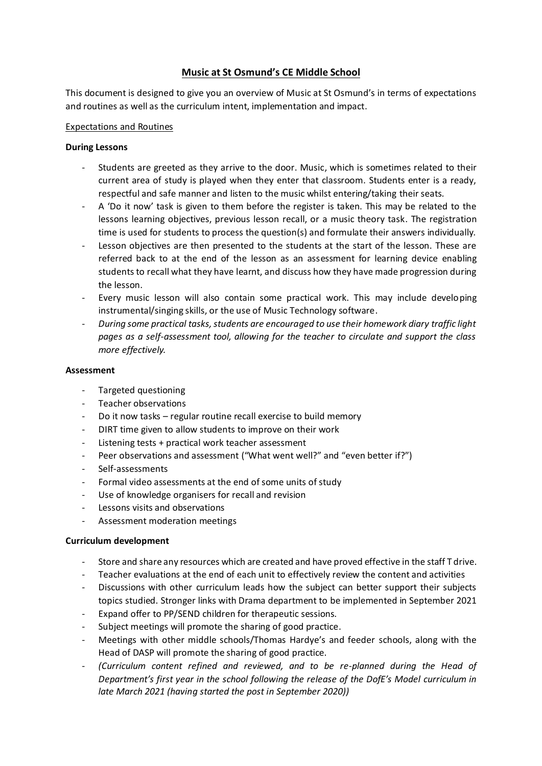# **Music at St Osmund's CE Middle School**

This document is designed to give you an overview of Music at St Osmund's in terms of expectations and routines as well as the curriculum intent, implementation and impact.

### Expectations and Routines

### **During Lessons**

- Students are greeted as they arrive to the door. Music, which is sometimes related to their current area of study is played when they enter that classroom. Students enter is a ready, respectful and safe manner and listen to the music whilst entering/taking their seats.
- A 'Do it now' task is given to them before the register is taken. This may be related to the lessons learning objectives, previous lesson recall, or a music theory task. The registration time is used for students to process the question(s) and formulate their answers individually.
- Lesson objectives are then presented to the students at the start of the lesson. These are referred back to at the end of the lesson as an assessment for learning device enabling students to recall what they have learnt, and discuss how they have made progression during the lesson.
- Every music lesson will also contain some practical work. This may include developing instrumental/singing skills, or the use of Music Technology software.
- *During some practical tasks, students are encouraged to use their homework diary traffic light pages as a self-assessment tool, allowing for the teacher to circulate and support the class more effectively.*

### **Assessment**

- Targeted questioning
- Teacher observations
- Do it now tasks regular routine recall exercise to build memory
- DIRT time given to allow students to improve on their work
- Listening tests + practical work teacher assessment
- Peer observations and assessment ("What went well?" and "even better if?")
- Self-assessments
- Formal video assessments at the end of some units of study
- Use of knowledge organisers for recall and revision
- Lessons visits and observations
- Assessment moderation meetings

## **Curriculum development**

- Store and share any resources which are created and have proved effective in the staff T drive.
- Teacher evaluations at the end of each unit to effectively review the content and activities
- Discussions with other curriculum leads how the subject can better support their subjects topics studied. Stronger links with Drama department to be implemented in September 2021
- Expand offer to PP/SEND children for therapeutic sessions.
- Subject meetings will promote the sharing of good practice.
- Meetings with other middle schools/Thomas Hardye's and feeder schools, along with the Head of DASP will promote the sharing of good practice.
- *(Curriculum content refined and reviewed, and to be re-planned during the Head of Department's first year in the school following the release of the DofE's Model curriculum in late March 2021 (having started the post in September 2020))*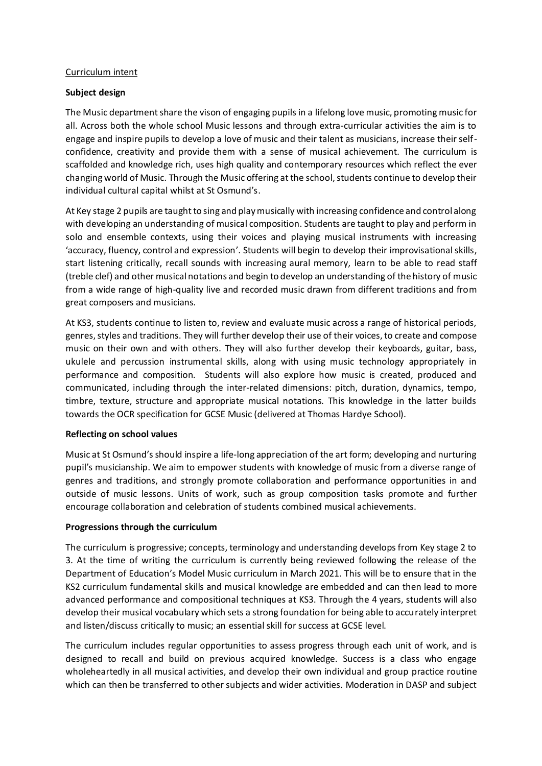#### Curriculum intent

### **Subject design**

The Music department share the vison of engaging pupils in a lifelong love music, promoting music for all. Across both the whole school Music lessons and through extra-curricular activities the aim is to engage and inspire pupils to develop a love of music and their talent as musicians, increase their selfconfidence, creativity and provide them with a sense of musical achievement. The curriculum is scaffolded and knowledge rich, uses high quality and contemporary resources which reflect the ever changing world of Music. Through the Music offering at the school, students continue to develop their individual cultural capital whilst at St Osmund's.

At Key stage 2 pupils are taught to sing and play musically with increasing confidence and control along with developing an understanding of musical composition. Students are taught to play and perform in solo and ensemble contexts, using their voices and playing musical instruments with increasing 'accuracy, fluency, control and expression'. Students will begin to develop their improvisational skills, start listening critically, recall sounds with increasing aural memory, learn to be able to read staff (treble clef) and other musical notations and begin to develop an understanding of the history of music from a wide range of high-quality live and recorded music drawn from different traditions and from great composers and musicians.

At KS3, students continue to listen to, review and evaluate music across a range of historical periods, genres, styles and traditions. They will further develop their use of their voices, to create and compose music on their own and with others. They will also further develop their keyboards, guitar, bass, ukulele and percussion instrumental skills, along with using music technology appropriately in performance and composition. Students will also explore how music is created, produced and communicated, including through the inter-related dimensions: pitch, duration, dynamics, tempo, timbre, texture, structure and appropriate musical notations. This knowledge in the latter builds towards the OCR specification for GCSE Music (delivered at Thomas Hardye School).

#### **Reflecting on school values**

Music at St Osmund's should inspire a life-long appreciation of the art form; developing and nurturing pupil's musicianship. We aim to empower students with knowledge of music from a diverse range of genres and traditions, and strongly promote collaboration and performance opportunities in and outside of music lessons. Units of work, such as group composition tasks promote and further encourage collaboration and celebration of students combined musical achievements.

#### **Progressions through the curriculum**

The curriculum is progressive; concepts, terminology and understanding develops from Key stage 2 to 3. At the time of writing the curriculum is currently being reviewed following the release of the Department of Education's Model Music curriculum in March 2021. This will be to ensure that in the KS2 curriculum fundamental skills and musical knowledge are embedded and can then lead to more advanced performance and compositional techniques at KS3. Through the 4 years, students will also develop their musical vocabulary which sets a strong foundation for being able to accurately interpret and listen/discuss critically to music; an essential skill for success at GCSE level.

The curriculum includes regular opportunities to assess progress through each unit of work, and is designed to recall and build on previous acquired knowledge. Success is a class who engage wholeheartedly in all musical activities, and develop their own individual and group practice routine which can then be transferred to other subjects and wider activities. Moderation in DASP and subject